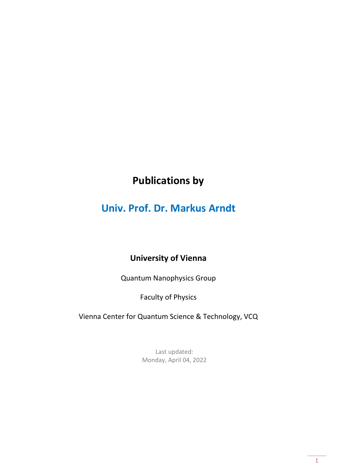# **Publications by**

# **Univ. Prof. Dr. Markus Arndt**

## **University of Vienna**

Quantum Nanophysics Group

Faculty of Physics

Vienna Center for Quantum Science & Technology, VCQ

Last updated: Monday, April 04, 2022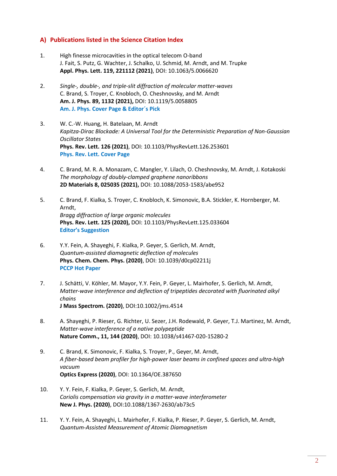#### **A) Publications listed in the Science Citation Index**

- 1. High finesse microcavities in the optical telecom O-band J. Fait, S. Putz, G. Wachter, J. Schalko, U. Schmid, M. Arndt, and M. Trupke **Appl. Phys. Lett. 119, 221112 (2021)**, DOI: 10.1063/5.0066620
- 2. *Single-, double-, and triple-slit diffraction of molecular matter-waves* C. Brand, S. Troyer, C. Knobloch, O. Cheshnovsky, and M. Arndt **Am. J. Phys. 89, 1132 (2021),** DOI: 10.1119/5.0058805 **Am. J. Phys. Cover Page & Editor´s Pick**
- 3. W. C.-W. Huang, H. Batelaan, M. Arndt *Kapitza-Dirac Blockade: A Universal Tool for the Deterministic Preparation of Non-Gaussian Oscillator States* **Phys. Rev. Lett. 126 (2021)**, DOI: 10.1103/PhysRevLett.126.253601 **Phys. Rev. Lett. Cover Page**
- 4. C. Brand, M. R. A. Monazam, C. Mangler, Y. Lilach, O. Cheshnovsky, M. Arndt, J. Kotakoski *The morphology of doubly-clamped graphene nanoribbons* **2D Materials 8, 025035 (2021),** DOI: 10.1088/2053-1583/abe952
- 5. C. Brand, F. Kialka, S. Troyer, C. Knobloch, K. Simonovic, B.A. Stickler, K. Hornberger, M. Arndt, *Bragg diffraction of large organic molecules* **Phys. Rev. Lett. 125 (2020),** DOI: 10.1103/PhysRevLett.125.033604 **Editor's Suggestion**
- 6. Y.Y. Fein, A. Shayeghi, F. Kialka, P. Geyer, S. Gerlich, M. Arndt, *Quantum-assisted diamagnetic deflection of molecules* **Phys. Chem. Chem. Phys. (2020)**, DOI: 10.1039/d0cp02211j **PCCP Hot Paper**
- 7. J. Schätti, V. Köhler, M. Mayor, Y.Y. Fein, P. Geyer, L. Mairhofer, S. Gerlich, M. Arndt, *Matter-wave interference and deflection of tripeptides decorated with fluorinated alkyl chains* **J Mass Spectrom. (2020)**, DOI:10.1002/jms.4514
- 8. A. Shayeghi, P. Rieser, G. Richter, U. Sezer, J.H. Rodewald, P. Geyer, T.J. Martinez, M. Arndt, *Matter-wave interference of a native polypeptide* **Nature Comm., 11, 144 (2020)**, DOI: 10.1038/s41467-020-15280-2
- 9. C. Brand, K. Simonovic, F. Kialka, S. Troyer, P., Geyer, M. Arndt, *A fiber-based beam profiler for high-power laser beams in confined spaces and ultra-high vacuum* **Optics Express (2020)**, DOI: 10.1364/OE.387650
- 10. Y. Y. Fein, F. Kialka, P. Geyer, S. Gerlich, M. Arndt, *Coriolis compensation via gravity in a matter-wave interferometer* **New J. Phys. (2020)**, DOI:10.1088/1367-2630/ab73c5
- 11. Y. Y. Fein, A. Shayeghi, L. Mairhofer, F. Kialka, P. Rieser, P. Geyer, S. Gerlich, M. Arndt, *Quantum-Assisted Measurement of Atomic Diamagnetism*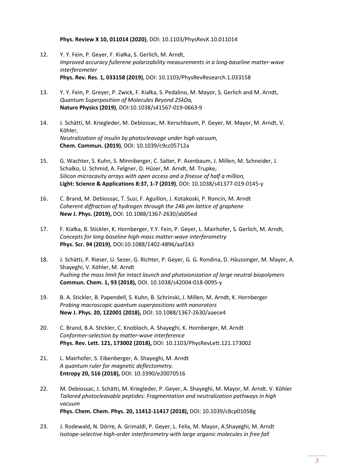**Phys. Review X 10, 011014 (2020)**, DOI: 10.1103/PhysRevX.10.011014

- 12. Y. Y. Fein, P. Geyer, F. Kiałka, S. Gerlich, M. Arndt, *Improved accuracy fullerene polarizability measurements in a long-baseline matter-wave interferometer* **Phys. Rev. Res. 1, 033158 (2019)**, DOI: 10.1103/PhysRevResearch.1.033158
- 13. Y. Y. Fein, P. Greyer, P. Zwick, F. Kiałka, S. Pedalino, M. Mayor, S. Gerlich and M. Arndt, *Quantum Superposition of Molecules Beyond 25kDa,* **Nature Physics (2019)**, DOI:10.1038/s41567-019-0663-9
- 14. J. Schätti, M. Kriegleder, M. Debiossac, M. Kerschbaum, P. Geyer, M. Mayor, M. Arndt, V. Köhler, *Neutralization of insulin by photocleavage under high vacuum,* **Chem. Commun. (2019)**, DOI: 10.1039/c9cc05712a
- 15. G. Wachter, S. Kuhn, S. Minniberger, C. Salter, P. Asenbaum, J. Millen, M. Schneider, J. Schalko, U. Schmid, A. Felgner, D. Hüser, M. Arndt, M. Trupke, *Silicon microcavity arrays with open access and a finesse of half a million,* **Light: Science & Applications 8:37, 1-7 (2019)**, DOI: 10.1038/s41377-019-0145-y
- 16. C. Brand, M. Debiossac, T. Susi, F. Aguillon, J. Kotakoski, P. Roncin, M. Arndt *Coherent diffraction of hydrogen through the 246 pm lattice of graphene* **New J. Phys. (2019),** DOI: 10.1088/1367-2630/ab05ed
- 17. F. Kiałka, B. Stickler, K. Hornberger, Y.Y. Fein, P. Geyer, L. Mairhofer, S. Gerlich, M. Arndt, *Concepts for long-baseline high-mass matter-wave interferometry* **Phys. Scr. 94 (2019)**, DOI:10.1088/1402-4896/aaf243
- 18. J. Schätti, P. Rieser, U. Sezer, G. Richter, P. Geyer, G. G. Rondina, D. Häussinger, M. Mayor, A. Shayeghi, V. Köhler, M. Arndt *Pushing the mass limit for intact launch and photoionization of large neutral biopolymers* **Commun. Chem. 1, 93 (2018),** DOI. 10.1038/s42004-018-0095-y
- 19. B. A. Stickler, B. Papendell, S. Kuhn, B. Schrinski, J. Millen, M. Arndt, K. Hornberger *Probing macroscopic quantum superpositions with nanorotors* **New J. Phys. 20, 122001 (2018),** DOI: 10.1088/1367-2630/aaece4
- 20. C. Brand, B.A. Stickler, C. Knobloch, A. Shayeghi, K. Hornberger, M. Arndt *Conformer-selection by matter-wave interference* **Phys. Rev. Lett. 121, 173002 (2018),** DOI: 10.1103/PhysRevLett.121.173002
- 21. L. Mairhofer, S. Eibenberger, A. Shayeghi, M. Arndt *A quantum ruler for magnetic deflectometry.* **Entropy 20, 516 (2018),** DOI: 10.3390/e20070516
- 22. M. Debiossac, J. Schätti, M. Kriegleder, P. Geyer, A. Shayeghi, M. Mayor, M. Arndt. V. Köhler *Tailored photocleavable peptides: Fragmentation and neutralization pathways in high vacuum* **Phys. Chem. Chem. Phys. 20, 11412-11417 (2018),** DOI: 10.1039/c8cp01058g
- 23. J. Rodewald, N. Dörre, A. Grimaldi, P. Geyer, L. Felix, M. Mayor, A.Shayeghi, M. Arndt *[Isotope-selective high-order interferometry with large organic molecules in free fall](http://doi.org/10.1088/1367-2630/aaade2)*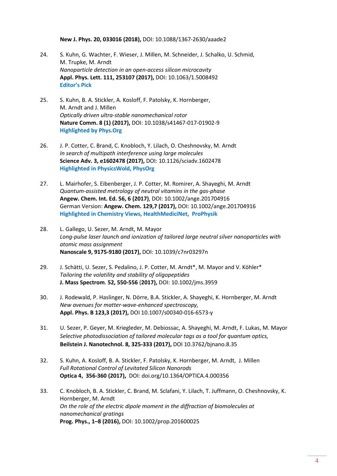**New J. Phys. 20, 033016 (2018),** DOI: 10.1088/1367-2630/aaade2

- 24. S. Kuhn, G. Wachter, F. Wieser, J. Millen, M. Schneider, J. Schalko, U. Schmid, M. Trupke, M. Arndt *Nanoparticle detection in an open-access silicon microcavity* **Appl. Phys. Lett. 111, 253107 (2017),** DOI: 10.1063/1.5008492 **Editor's Pick**
- 25. S. Kuhn, B. A. Stickler, A. Kosloff, F. Patolsky, K. Hornberger, M. Arndt and J. Millen *Optically driven ultra-stable nanomechanical rotor* **Nature Comm. 8 (1) (2017),** DOI: 10.1038/s41467-017-01902-9 **Highlighted by Phys.Org**
- 26. J. P. Cotter, C. Brand, C. Knobloch, Y. Lilach, O. Cheshnovsky, M. Arndt *In search of multipath interference using large molecules* **Science Adv. 3, e1602478 (2017),** DOI: 10.1126/sciadv.1602478 **Highlighted in PhysicsWold, PhysOrg**
- 27. L. Mairhofer, S. Eibenberger, J. P. Cotter, M. Romirer, A. Shayeghi, M. Arndt *Quantum-assisted metrology of neutral vitamins in the gas-phase* **Angew. Chem. Int. Ed. 56, 6 (2017)**, DOI: 10.1002/ange.201704916 German Version: **Angew. Chem. 129,7 (2017),** DOI: 10.1002/ange.201704916 **Highlighted in [Chemistry Views, HealthMediciNet, P](http://healthmedicinet.com/i/quantum-ruler-for-biomolecules/)roPhysik**
- 28. L. Gallego, U. Sezer, M. Arndt, M. Mayor *Long-pulse laser launch and ionization of tailored large neutral silver nanoparticles with atomic mass assignment* **Nanoscale 9, 9175-9180 (2017),** DOI: 10.1039/c7nr03297n
- 29. J. Schätti, U. Sezer, S. Pedalino, J. P. Cotter, M. Arndt\*, M. Mayor and V. Köhler\* *Tailoring the volatility and stability of oligopeptides* **J. Mass Spectrom**. **52, 550-556** (**2017),** DOI: 10.1002/jms.3959
- 30. J. Rodewald, P. Haslinger, N. Dörre, B.A. Stickler, A. Shayeghi, K. Hornberger, M. Arndt *New avenues for matter-wave-enhanced spectroscopy,*  **Appl. Phys. B 123,3 (2017),** DOI 10.1007/s00340-016-6573-y
- 31. U. Sezer, P. Geyer, M. Kriegleder, M. Debiossac, A. Shayeghi, M. Arndt, F. Lukas, M. Mayor *Selective photodissociation of tailored molecular tags as a tool for quantum optics,*  **Beilstein J. Nanotechnol. 8, 325-333 (2017),** DOI 10.3762/bjnano.8.35
- 32. S. Kuhn, A. Kosloff, B. A. Stickler, F. Patolsky, K. Hornberger, M. Arndt, J. Millen *Full Rotational Control of Levitated Silicon Nanorods* **[Optica 4, 356-360 \(2017\),](https://www.osapublishing.org/optica/abstract.cfm?uri=optica-4-3-356)** DOI: doi.org/10.1364/OPTICA.4.000356
- 33. C. Knobloch, B. A. Stickler, C. Brand, M. Sclafani, Y. Lilach, T. Juffmann, O. Cheshnovsky, K. Hornberger, M. Arndt *On the role of the electric dipole moment in the diffraction of biomolecules at nanomechanical gratings* **Prog. Phys., 1–8 (2016),** DOI: 10.1002/prop.201600025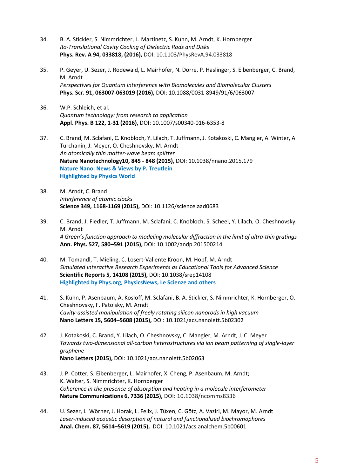- 34. B. A. Stickler, S. Nimmrichter, L. Martinetz, S. Kuhn, M. Arndt, K. Hornberger *Ro-Translational Cavity Cooling of Dielectric Rods and Disks* **Phys. Rev. A 94, 033818, (2016),** DOI: 10.1103/PhysRevA.94.033818
- 35. P. Geyer, U. Sezer, J. Rodewald, L. Mairhofer, N. Dörre, P. Haslinger, S. Eibenberger, C. Brand, M. Arndt *Perspectives for Quantum Interference with Biomolecules and Biomolecular Clusters* **Phys. Scr. 91, 063007-063019 (2016),** DOI: 10.1088/0031-8949/91/6/063007
- 36. W.P. Schleich, et al. *Quantum technology: from research to application* **Appl. Phys. B 122, 1-31 (2016),** DOI: 10.1007/s00340-016-6353-8
- 37. C. Brand, M. Sclafani, C. Knobloch, Y. Lilach, T. Juffmann, J. Kotakoski, C. Mangler, A. Winter, A. Turchanin, J. Meyer, O. Cheshnovsky, M. Arndt *An atomically thin matter-wave beam splitter* **Nature Nanotechnology10, 845 - 848 (2015),** DOI: 10.1038/nnano.2015.179 **Nature Nano: News & Views by P. Treutlein Highlighted by Physics World**
- 38. M. Arndt, C. Brand *Interference of atomic clocks* **Science 349, 1168-1169 (2015),** DOI: 10.1126/science.aad0683
- 39. C. Brand, J. Fiedler, T. Juffmann, M. Sclafani, C. Knobloch, S. Scheel, Y. Lilach, O. Cheshnovsky, M. Arndt *A Green's function approach to modeling molecular diffraction in the limit of ultra-thin gratings* **Ann. Phys. 527, 580–591 (2015),** DOI: 10.1002/andp.201500214
- 40. M. Tomandl, T. Mieling, C. Losert-Valiente Kroon, M. Hopf, M. Arndt *Simulated Interactive Research Experiments as Educational Tools for Advanced Science* **Scientific Reports 5, 14108 (2015),** DOI: 10.1038/srep14108 **Highlighted by Phys.org, PhysicsNews, Le Scienze and others**
- 41. S. Kuhn, P. Asenbaum, A. Kosloff, M. Sclafani, B. A. Stickler, S. Nimmrichter, K. Hornberger, O. Cheshnovsky, F. Patolsky, M. Arndt *Cavity-assisted manipulation of freely rotating silicon nanorods in high vacuum* **Nano Letters 15, 5604–5608 (2015),** DOI: 10.1021/acs.nanolett.5b02302
- 42. J. Kotakoski, C. Brand, Y. Lilach, O. Cheshnovsky, C. Mangler, M. Arndt, J. C. Meyer *Towards two-dimensional all-carbon heterostructures via ion beam patterning of single-layer graphene* **Nano Letters (2015),** DOI: 10.1021/acs.nanolett.5b02063
- 43. J. P. Cotter, S. Eibenberger, L. Mairhofer, X. Cheng, P. Asenbaum, M. Arndt; K. Walter, S. Nimmrichter, K. Hornberger *Coherence in the presence of absorption and heating in a molecule interferometer* **Nature Communications 6, 7336 (2015),** DOI: 10.1038/ncomms8336
- 44. U. Sezer, L. Wörner, J. Horak, L. Felix, J. Tüxen, C. Götz, A. Vaziri, M. Mayor, M. Arndt *Laser-induced acoustic desorption of natural and functionalized biochromophores* **Anal. Chem. 87, 5614–5619 (2015),** DOI: 10.1021/acs.analchem.5b00601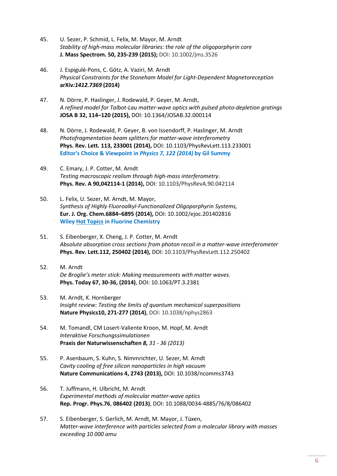- 45. U. Sezer, P. Schmid, L. Felix, M. Mayor, M. Arndt *Stability of high-mass molecular libraries: the role of the oligoporphyrin core* **J. Mass Spectrom. 50, 235-239 (2015);** DOI: 10.1002/jms.3526
- 46. J. Espigulé-Pons, C. Götz, A. Vaziri, M. Arndt *Physical Constraints for the Stoneham Model for Light-Dependent Magnetoreception*  **arXiv***:1412.7369* **(2014)**
- 47. N. Dörre, P. Haslinger, J. Rodewald, P. Geyer, M. Arndt, *A refined model for Talbot-Lau matter-wave optics with pulsed photo-depletion gratings* **JOSA B 32, 114–120 (2015),** DOI: 10.1364/JOSAB.32.000114
- 48. N. Dörre, J. Rodewald, P. Geyer, B. von Issendorff, P. Haslinger, M. Arndt *Photofragmentation beam splitters for matter-wave interferometry* **Phys. Rev. Lett. 113, 233001 (2014),** DOI: 10.1103/PhysRevLett.113.233001 **Editor's Choice & Viewpoint in** *[Physics 7, 122 \(2014\)](http://physics.aps.org/articles/v7/122?referer=rss)* **by Gil Summy**
- 49. C. Emary, J. P. Cotter, M. Arndt *Testing macroscopic realism through high-mass interferometry.* **Phys. Rev. A 90,042114-1 (2014),** DOI: 10.1103/PhysRevA.90.042114
- 50. L. Felix, U. Sezer, M. Arndt, M. Mayor, *Synthesis of Highly Fluoroalkyl-Functionalized Oligoporphyrin Systems,* **Eur. J. Org. Chem.6884–6895 (2014),** DOI: 10.1002/ejoc.201402816 **Wile[y Hot Topics](http://www.wiley-vch.de/util/hottopics/fluorine/) in Fluorine Chemistry**
- 51. S. Eibenberger, X. Cheng, J. P. Cotter, M. Arndt *Absolute absorption cross sections from photon recoil in a matter-wave interferometer* **Phys. Rev. Lett.112, 250402 (2014),** DOI: 10.1103/PhysRevLett.112.250402
- 52. M. Arndt *De Broglie's meter stick: Making measurements with matter waves.*  **Phys. Today 67, 30-36, (2014)**, DOI: 10.1063/PT.3.2381
- 53. M. Arndt, K. Hornberger *Insight review: Testing the limits of quantum mechanical superpositions* **Nature Physics10, 271-277 (2014)**, DOI: 10.1038/nphys2863
- 54. M. Tomandl, CM Losert-Valiente Kroon, M. Hopf, M. Arndt *Interaktive Forschungssimulationen* **Praxis der Naturwissenschaften** *8, 31 - 36 (2013)*
- 55. P. Asenbaum, S. Kuhn, S. Nimmrichter, U. Sezer, M. Arndt *Cavity cooling of free silicon nanoparticles in high vacuum* **Nature Communications 4, 2743 (2013),** DOI: 10.1038/ncomms3743
- 56. T. Juffmann, H. Ulbricht, M. Arndt *Experimental methods of molecular matter-wave optics* **Rep. Progr. Phys.76**, **086402 (2013)**, DOI: 10.1088/0034-4885/76/8/08640[2](http://dx.doi.org/10.1088/0034-4885/76/8/086402)
- 57. S. Eibenberger, S. Gerlich, M. Arndt, M. Mayor, J. Tüxen, *Matter-wave interference with particles selected from a molecular library with masses exceeding 10 000 amu*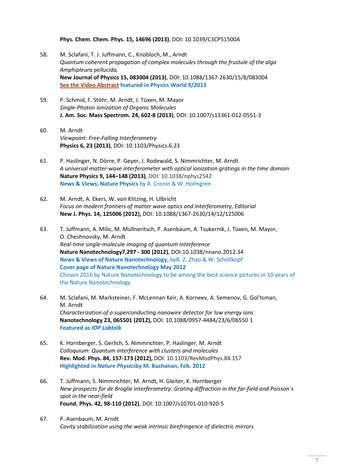**Phys. Chem. Chem. Phys. 15, 14696 (2013)**, DOI**:** 10.1039/C3CP51500A

- 58. M. Sclafani, T. J. Juffmann, C., Knobloch, M., Arndt *[Quantum coherent propagation of complex molecules through the frustule of the alga](http://iopscience.iop.org/1367-2630/15/8/083004/)  [Amphipleura pellucida,](http://iopscience.iop.org/1367-2630/15/8/083004/)* **New Journal of Physics 15, 083004 (2013)**, DOI: 10.1088/1367-2630/15/8/083004 **[See the Video Abstract](http://iopscience.iop.org/1367-2630/15/8/083004/) featured in Physics World 9/2013**
- 59. P. Schmid, F. Stöhr, M. Arndt, J. Tüxen, M. Mayor *Single-Photon Ionization of Organic Molecules* **J. Am. Soc. Mass Spectrom. 24, 602-8 (2013)**, DOI: 10.1007/s13361-012-0551-3
- 60. M. Arndt *Viewpoint: Free-Falling Interferometry* **Physics 6, 23 (2013)**, DOI: 10.1103/Physics.6.23
- 61. P. Haslinger, N. Dörre, P. Geyer, J. Rodewald, S. Nimmrichter, M. Arndt *A universal matter-wave interferometer with optical ionization gratings in the time domain* **Nature Physics 9, 144–148 (2013)**, DOI: 10.1038/nphys2542 **News & Views, Nature Physics** by A. Cronin & W. Holmgren
- 62. M. Arndt, A. Ekers, W. von Klitzing, H. Ulbricht *Focus on modern frontiers of matter wave optics and interferometry, Editorial* **New J. Phys. 14, 125006 (2012),** DOI: 10.1088/1367-2630/14/12/125006
- 63. T. Juffmann, A. Milic, M. Müllneritsch, P. Asenbaum, A. Tsukernik, J. Tüxen, M. Mayor, O. Cheshnovsky, M. Arndt *Real-time single-molecule imaging of quantum interference* **Nature Nanotechnology7**,**297 - 300 (2012)**, DOI:10.1038/nnano.2012.34 **News & Views of Nature Nanotechnology,** byB. Z**.** Zhao & W. Schöllkopf **Cover page of Nature Nanotechnology May 2012** Chosen 2016 by Nature Nanotechnology to be among the best science pictures in 10 years of the Nature Nanotechnology
- 64. M. Sclafani, M. Marksteiner, F. McLennan Keir, A. Korneev, A. Semenov, G. Gol'tsman, M. Arndt *Characterization of a superconducting nanowire detector for low energy ions* **Nanotechnology 23, 065501 (2012),** DOI: 10.1088/0957-4484/23/6/06550 1 **Featured as** *IOP Labtalk*
- 65. K. Hornberger, S. Gerlich, S. Nimmrichter, P. Haslinger, M. Arndt *Colloquium: Quantum interference with clusters and molecules* **Rev. Mod. Phys. 84, 157-173 (2012),** DOI: 10.1103/RevModPhys.84.157 **Highlighted in** *Nature Physics***by M. Buchanan, Feb. 2012**
- 66. T. Juffmann, S. Nimmrichter, M. Arndt, H. Gleiter, K. Hornberger *New prospects for de Broglie interferometry: Grating diffraction in the far-field and Poisson´s spot in the near-field*  **Found. Phys. 42, 98-110 (2012)**, DOI: 10.1007/s10701-010-920-5
- 67. P. Asenbaum, M. Arndt *Cavity stabilization using the weak intrinsic birefringence of dielectric mirrors*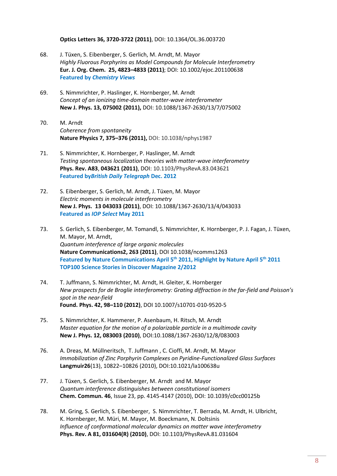**Optics Letters 36, 3720-3722 (2011)**, DOI: 10.1364/OL.36.003720

- 68. J. Tüxen, S. Eibenberger, S. Gerlich, M. Arndt, M. Mayor *Highly Fluorous Porphyrins as Model Compounds for Molecule Interferometry* **Eur. J. Org. Chem. 25, 4823–4833 (2011)**; DOI: 10.1002/ejoc.201100638 **Featured by** *Chemistry Views*
- 69. S. Nimmrichter, P. Haslinger, K. Hornberger, M. Arndt *Concept of an ionizing time-domain matter-wave interferometer*  **New J. Phys. 13, 075002 (2011),** DOI: 10.1088/1367-2630/13/7/075002
- 70. M. Arndt *Coherence from spontaneity*  **Nature Physics 7, 375–376 (2011),** DOI: 10.1038/nphys1987
- 71. S. Nimmrichter, K. Hornberger, P. Haslinger, M. Arndt *Testing spontaneous localization theories with matter-wave interferometry* **Phys. Rev. A83**, **043621 (2011)**, DOI: 10.1103/PhysRevA.83.043621 **Featured by***British Daily Telegraph* **Dec. 2012**
- 72. S. Eibenberger, S. Gerlich, M. Arndt, J. Tüxen, M. Mayor *Electric moments in molecule interferometry* **New J. Phys. 13 043033 (2011)**, DOI: 10.1088/1367-2630/13/4/043033 **Featured as** *IOP Select* **May 2011**
- 73. S. Gerlich, S. Eibenberger, M. Tomandl, S. Nimmrichter, K. Hornberger, P. J. Fagan, J. Tüxen, M. Mayor, M. Arndt, *Quantum interference of large organic molecules* **Nature Communications2, 263 (2011)**, DOI 10.1038/ncomms1263 **Featured by Nature Communications April 5th 2011, Highlight by Nature April 5th 2011 TOP100 Science Stories in Discover Magazine 2/2012**
- 74. T. Juffmann, S. Nimmrichter, M. Arndt, H. Gleiter, K. Hornberger *New prospects for de Broglie interferometry: Grating diffraction in the far-field and Poisson's spot in the near-field* **Found. Phys. 42, 98–110 (2012)**, DOI 10.1007/s10701-010-9520-5
- 75. S. Nimmrichter, K. Hammerer, P. Asenbaum, H. Ritsch, M. Arndt *Master equation for the motion of a polarizable particle in a multimode cavity* **New J. Phys. 12, 083003 (2010)**, DOI:10.1088/1367-2630/12/8/083003
- 76. A. Dreas, M. Müllneritsch, T. Juffmann , C. Cioffi, M. Arndt, M. Mayor *Immobilization of Zinc Porphyrin Complexes on Pyridine-Functionalized Glass Surfaces* **Langmuir26**(13), 10822–10826 (2010), DOI:10.1021/la100638u
- 77. J. Tüxen, S. Gerlich, S. Eibenberger, M. Arndt and M. Mayor *Quantum interference distinguishes between constitutional isomers* **Chem. Commun. 46**, Issue 23, pp. 4145-4147 (2010), DOI: 10.1039/c0cc00125b
- 78. M. Gring, S. Gerlich, S. Eibenberger, S. Nimmrichter, T. Berrada, M. Arndt, H. Ulbricht, K. Hornberger, M. Müri, M. Mayor, M. Boeckmann, N. Doltsinis *Influence of conformational molecular dynamics on matter wave interferometry* **Phys. Rev. A 81, 031604(R) (2010)**, DOI: 10.1103/PhysRevA.81.031604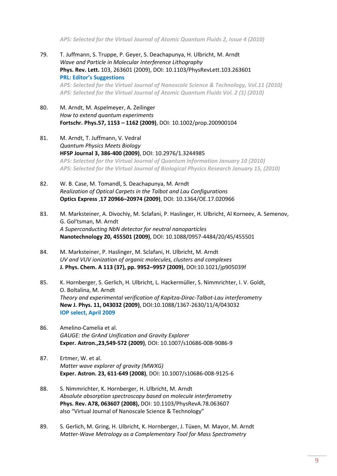*APS: Selected for the Virtual Journal of Atomic Quantum Fluids 2, Issue 4 (2010)*

- 79. T. Juffmann, S. Truppe, P. Geyer, S. Deachapunya, H. Ulbricht, M. Arndt *Wave and Particle in Molecular Interference Lithography*  **Phys. Rev. Lett.** 103, 263601 (2009), DOI: 10.1103/PhysRevLett.103.263601 **PRL: Editor's Suggestions** *APS: Selected for the Virtual Journal of Nanoscale Science & Technology, Vol.11 (2010) APS: Selected for the Virtual Journal of Atomic Quantum Fluids Vol. 2 (1) (2010)*
- 80. M. Arndt, M. Aspelmeyer, A. Zeilinger *How to extend quantum experiments* **Fortschr. Phys.57, 1153 – 1162 (2009)**, DOI: 10.1002/prop.200900104
- 81. M. Arndt, T. Juffmann, V. Vedral *Quantum Physics Meets Biology* **HFSP Journal 3, 386-400 (2009)**, DOI: 10.2976/1.3244985 *APS: Selected for the Virtual Journal of Quantum Information January 10 (2010) APS: Selected for the Virtual Journal of Biological Physics Research January 15, (2010)*
- 82. W. B. Case, M. Tomandl, S. Deachapunya, M. Arndt *Realization of Optical Carpets in the Talbot and Lau Configurations*  **Optics Express** ,**17 20966–20974 (2009)**, DOI: 10.1364/OE.17.020966
- 83. M. Marksteiner, A. Divochiy, M. Sclafani, P. Haslinger, H. Ulbricht, Al Korneev, A. Semenov, G. Gol'tsman, M. Arndt *A Superconducting NbN detector for neutral nanoparticles* **Nanotechnology 20, 455501 (2009)**, DOI: 10.1088/0957-4484/20/45/455501
- 84. M. Marksteiner, P. Haslinger, M. Sclafani, H. Ulbricht, M. Arndt *UV and VUV ionization of organic molecules, clusters and complexes* **J. Phys. Chem. A 113 (37), pp. 9952–9957 (2009)**, DOI:10.1021/jp905039f
- 85. K. Hornberger, S. Gerlich, H. Ulbricht, L. Hackermüller, S. Nimmrichter, I. V. Goldt, O. Boltalina, M. Arndt *Theory and experimental verification of Kapitza-Dirac-Talbot-Lau interferometry* **New J. Phys. 11, 043032 (2009)**, DOI:10.1088/1367-2630/11/4/043032 **IOP select, April 2009**
- 86. Amelino-Camelia et al. *GAUGE: the GrAnd Unification and Gravity Explorer*  **Exper. Astron.,23,549-572 (2009)**, DOI: 10.1007/s10686-008-9086-9
- 87. Ertmer, W. et al. *Matter wave explorer of gravity (MWXG)* **Exper. Astron. 23, 611-649 (2008)**, DOI: 10.1007/s10686-008-9125-6
- 88. S. Nimmrichter, K. Hornberger, H. Ulbricht, M. Arndt *Absolute absorption spectroscopy based on molecule interferometry*  **Phys. Rev. A78, 063607 (2008),** DOI: 10.1103/PhysRevA.78.063607 also "Virtual Journal of Nanoscale Science & Technology"
- 89. S. Gerlich, M. Gring, H. Ulbricht, K. Hornberger, J. Tüxen, M. Mayor, M. Arndt *Matter-Wave Metrology as a Complementary Tool for Mass Spectrometry*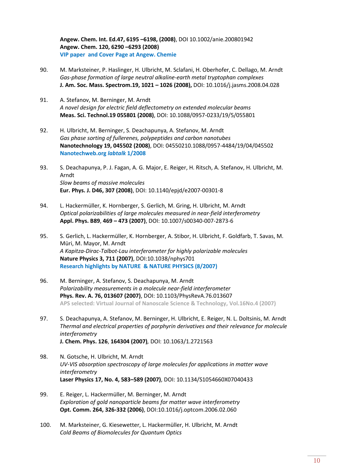**Angew. Chem. Int. Ed.47, 6195 –6198, (2008)**, DOI 10.1002/anie.200801942 **Angew. Chem. 120, 6290 –6293 (2008) VIP paper and Cover Page at Angew. Chemie** 

- 90. M. Marksteiner, P. Haslinger, H. Ulbricht, M. Sclafani, H. Oberhofer, C. Dellago, M. Arndt *Gas-phase formation of large neutral alkaline-earth metal tryptophan complexes*  **J. Am. Soc. Mass. Spectrom.19, 1021 – 1026 (2008),** DOI: 10.1016/j.jasms.2008.04.028
- 91. A. Stefanov, M. Berninger, M. Arndt *A novel design for electric field deflectometry on extended molecular beams* **Meas. Sci. Technol.19 055801 (2008)**, DOI: 10.1088/0957-0233/19/5/055801
- 92. H. Ulbricht, M. Berninger, S. Deachapunya, A. Stefanov, M. Arndt *Gas phase sorting of fullerenes, polypeptides and carbon nanotubes* **Nanotechnology 19, 045502 (2008)**, DOI: 04550210.1088/0957-4484/19/04/045502 **Nanotechweb.org** *labtalk* **1/2008**
- 93. S. Deachapunya, P. J. Fagan, A. G. Major, E. Reiger, H. Ritsch, A. Stefanov, H. Ulbricht, M. Arndt *Slow beams of massive molecules* **Eur. Phys. J. D46, 307 (2008)**, DOI: 10.1140/epjd/e2007-00301-8
- 94. L. Hackermüller, K. Hornberger, S. Gerlich, M. Gring, H. Ulbricht, M. Arndt *Optical polarizabilities of large molecules measured in near-field interferometry* **Appl. Phys. B89**, **469 – 473 (2007)**, DOI: 10.1007/s00340-007-2873-6
- 95. S. Gerlich, L. Hackermüller, K. Hornberger, A. Stibor, H. Ulbricht, F. Goldfarb, T. Savas, M. Müri, M. Mayor, M. Arndt *A Kapitza-Dirac-Talbot-Lau interferometer for highly polarizable molecules* **Nature Physics 3, 711 (2007)**, DOI:10.1038/nphys701 **Research highlights by NATURE & NATURE PHYSICS (8/2007)**
- 96. M. Berninger, A. Stefanov, S. Deachapunya, M. Arndt *Polarizability measurements in a molecule near-field interferometer* **Phys. Rev. A. 76, 013607 (2007)**, DOI: 10.1103/PhysRevA.76.013607 **APS selected: Virtual Journal of Nanoscale Science & Technology, Vol.16No.4 (2007)**
- 97. S. Deachapunya, A. Stefanov, M. Berninger, H. Ulbricht, E. Reiger, N. L. Doltsinis, M. Arndt *Thermal and electrical properties of porphyrin derivatives and their relevance for molecule interferometry* **J. Chem. Phys. 126**, **164304 (2007)***,* DOI: 10.1063/1.2721563
- 98. N. Gotsche, H. Ulbricht, M. Arndt *UV-VIS absorption spectroscopy of large molecules for applications in matter wave interferometry* **Laser Physics 17, No. 4, 583–589 (2007)**, DOI: 10.1134/S1054660X07040433
- 99. E. Reiger, L. Hackermüller, M. Berninger, M. Arndt *Exploration of gold nanoparticle beams for matter wave interferometry* **Opt. Comm. 264, 326-332 (2006)**, DOI:10.1016/j.optcom.2006.02.060
- 100. M. Marksteiner, G. Kiesewetter, L. Hackermüller, H. Ulbricht, M. Arndt *Cold Beams of Biomolecules for Quantum Optics*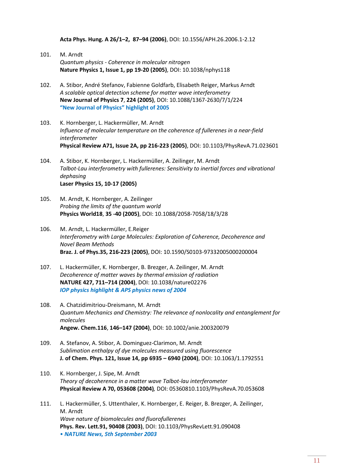**Acta Phys. Hung. A 26/1–2, 87–94 (2006)**, DOI: 10.1556/APH.26.2006.1-2.12

- 101. M. Arndt *Quantum physics - Coherence in molecular nitrogen* **Nature Physics 1, Issue 1, pp 19-20 (2005)**, DOI: 10.1038/nphys118
- 102. A. Stibor, André Stefanov, Fabienne Goldfarb, Elisabeth Reiger, Markus Arndt *A scalable optical detection scheme for matter wave interferometry*  **New Journal of Physics 7**, **224 (2005)**, DOI: 10.1088/1367-2630/7/1/224 **"New Journal of Physics" highlight of 2005**
- 103. K. Hornberger, L. Hackermüller, M. Arndt *Influence of molecular temperature on the coherence of fullerenes in a near-field interferometer* **Physical Review A71, Issue 2A, pp 216-223 (2005)**, DOI: 10.1103/PhysRevA.71.023601
- 104. A. Stibor, K. Hornberger, L. Hackermüller, A. Zeilinger, M. Arndt *Talbot-Lau interferometry with fullerenes: Sensitivity to inertial forces and vibrational dephasing* **Laser Physics 15, 10-17 (2005)**
- 105. M. Arndt, K. Hornberger, A. Zeilinger *Probing the limits of the quantum world* **Physics World18**, **35 -40 (2005)**, DOI: 10.1088/2058-7058/18/3/28
- 106. M. Arndt, L. Hackermüller, E.Reiger *Interferometry with Large Molecules: Exploration of Coherence, Decoherence and Novel Beam Methods* **Braz. J. of Phys.35, 216-223 (2005)**, DOI: 10.1590/S0103-97332005000200004
- 107. L. Hackermüller, K. Hornberger, B. Brezger, A. Zeilinger, M. Arndt *Decoherence of matter waves by thermal emission of radiation*  **NATURE 427, 711–714 (2004)**, DOI: 10.1038/nature02276 *IOP physics highlight & APS physics news of 2004*
- 108. A. Chatzidimitriou-Dreismann, M. Arndt *Quantum Mechanics and Chemistry: The relevance of nonlocality and entanglement for molecules*  **Angew. Chem.116**, **146–147 (2004)**, DOI: 10.1002/anie.200320079
- 109. A. Stefanov, A. Stibor, A. Dominguez-Clarimon, M. Arndt *Sublimation enthalpy of dye molecules measured using fluorescence* **J. of Chem. Phys. 121, Issue 14, pp 6935 – 6940 (2004)**, DOI: 10.1063/1.1792551
- 110. K. Hornberger, J. Sipe, M. Arndt *Theory of decoherence in a matter wave Talbot-lau interferometer* **Physical Review A 70, 053608 (2004)***,* DOI: 05360810.1103/PhysRevA.70.053608
- 111. L. Hackermüller, S. Uttenthaler, K. Hornberger, E. Reiger, B. Brezger, A. Zeilinger, M. Arndt *Wave nature of biomolecules and fluorofullerenes* **Phys. Rev. Lett.91, 90408 (2003)**, DOI: 10.1103/PhysRevLett.91.090408 • *NATURE News, 5th September 2003*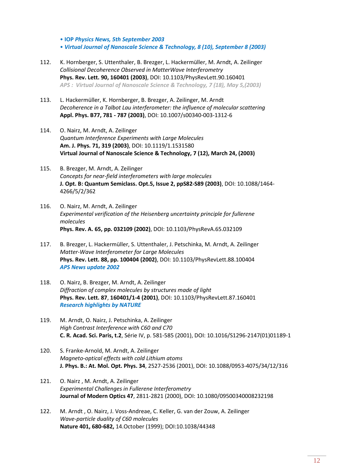• **IOP** *Physics News, 5th September 2003*

• *Virtual Journal of Nanoscale Science & Technology, 8 (10), September 8 (2003)*

- 112. K. Hornberger, S. Uttenthaler, B. Brezger, L. Hackermüller, M. Arndt, A. Zeilinger *Collisional Decoherence Observed in MatterWave Interferometry* **Phys. Rev. Lett. 90, 160401 (2003)**, DOI: 10.1103/PhysRevLett.90.160401 *APS : Virtual Journal of Nanoscale Science & Technology, 7 (18), May 5,(2003)*
- 113. L. Hackermüller, K. Hornberger, B. Brezger, A. Zeilinger, M. Arndt *Decoherence in a Talbot Lau interferometer: the influence of molecular scattering* **Appl. Phys. B77, 781 - 787 (2003)**, DOI: 10.1007/s00340-003-1312-6
- 114. O. Nairz, M. Arndt, A. Zeilinger *Quantum Interference Experiments with Large Molecules* **Am. J. Phys. 71, 319 (2003)**, DOI: 10.1119/1.1531580 **Virtual Journal of Nanoscale Science & Technology, 7 (12), March 24, (2003)**
- 115. B. Brezger, M. Arndt, A. Zeilinger *Concepts for near-field interferometers with large molecules* **J. Opt. B: Quantum Semiclass. Opt.5, Issue 2, ppS82-S89 (2003)**, DOI: 10.1088/1464- 4266/5/2/362
- 116. O. Nairz, M. Arndt, A. Zeilinger *Experimental verification of the Heisenberg uncertainty principle for fullerene molecules* **Phys. Rev. A. 65, pp. 032109 (2002)**, DOI: 10.1103/PhysRevA.65.032109
- 117. B. Brezger, L. Hackermüller, S. Uttenthaler, J. Petschinka, M. Arndt, A. Zeilinger *Matter-Wave Interferometer for Large Molecules* **Phys. Rev. Lett. 88, pp. 100404 (2002)**, DOI: 10.1103/PhysRevLett.88.100404 *APS News update 2002*
- 118. O. Nairz, B. Brezger, M. Arndt, A. Zeilinger *Diffraction of complex molecules by structures made of light* **Phys. Rev. Lett. 87**, **160401/1-4 (2001)**, DOI: 10.1103/PhysRevLett.87.160401 *Research highlights by NATURE*
- 119. M. Arndt, O. Nairz, J. Petschinka, A. Zeilinger *High Contrast Interference with C60 and C70* **C. R. Acad. Sci. Paris, t.2**, Série IV, p. 581-585 (2001), DOI: 10.1016/S1296-2147(01)01189-1
- 120. S. Franke-Arnold, M. Arndt, A. Zeilinger *Magneto-optical effects with cold Lithium atoms* **J. Phys. B.: At. Mol. Opt. Phys. 34**, 2527-2536 (2001), DOI: 10.1088/0953-4075/34/12/316
- 121. O. Nairz , M. Arndt, A. Zeilinger *Experimental Challenges in Fullerene Interferometry* **Journal of Modern Optics 47**, 2811-2821 (2000), DOI: 10.1080/09500340008232198
- 122. M. Arndt , O. Nairz, J. Voss-Andreae, C. Keller, G. van der Zouw, A. Zeilinger *Wave-particle duality of C60 molecules* **Nature 401, 680-682,** 14.October (1999); DOI:10.1038/44348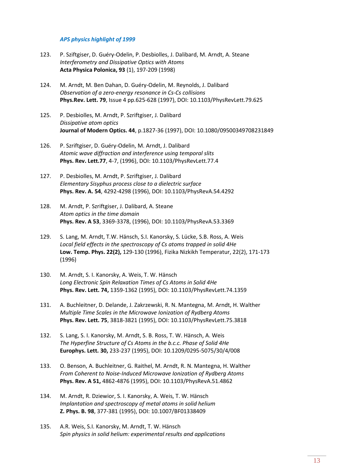#### *APS physics highlight of 1999*

- 123. P. Sziftgiser, D. Guéry-Odelin, P. Desbiolles, J. Dalibard, M. Arndt, A. Steane *Interferometry and Dissipative Optics with Atoms* **Acta Physica Polonica, 93** (1), 197-209 (1998)
- 124. M. Arndt, M. Ben Dahan, D. Guéry-Odelin, M. Reynolds, J. Dalibard *Observation of a zero-energy resonance in Cs-Cs collisions* **Phys.Rev. Lett. 79**, Issue 4 pp.625-628 (1997), DOI: 10.1103/PhysRevLett.79.625
- 125. P. Desbiolles, M. Arndt, P. Szriftgiser, J. Dalibard *Dissipative atom optics* **Journal of Modern Optics. 44**, p.1827-36 (1997), DOI: 10.1080/09500349708231849
- 126. P. Szriftgiser, D. Guéry-Odelin, M. Arndt, J. Dalibard *Atomic wave diffraction and interference using temporal slits* **Phys. Rev. Lett.77**, 4-7, (1996), DOI: 10.1103/PhysRevLett.77.4
- 127. P. Desbiolles, M. Arndt, P. Szriftgiser, J. Dalibard *Elementary Sisyphus process close to a dielectric surface*  **Phys. Rev. A. 54**, 4292-4298 (1996), DOI: 10.1103/PhysRevA.54.4292
- 128. M. Arndt, P. Szriftgiser, J. Dalibard, A. Steane *Atom optics in the time domain* **Phys. Rev. A 53**, 3369-3378, (1996), DOI: 10.1103/PhysRevA.53.3369
- 129. S. Lang, M. Arndt, T.W. Hänsch, S.I. Kanorsky, S. Lücke, S.B. Ross, A. Weis *Local field effects in the spectroscopy of Cs atoms trapped in solid 4He* **Low. Temp. Phys. 22(2),** 129-130 (1996), Fizika Nizkikh Temperatur, 22(2), 171-173 (1996)
- 130. M. Arndt, S. I. Kanorsky, A. Weis, T. W. Hänsch *Long Electronic Spin Relaxation Times of Cs Atoms in Solid 4He*  **Phys. Rev. Lett. 74,** 1359-1362 (1995), DOI: 10.1103/PhysRevLett.74.1359
- 131. A. Buchleitner, D. Delande, J. Zakrzewski, R. N. Mantegna, M. Arndt, H. Walther *Multiple Time Scales in the Microwave Ionization of Rydberg Atoms* **Phys. Rev. Lett. 75**, 3818-3821 (1995), DOI: 10.1103/PhysRevLett.75.3818
- 132. S. Lang, S. I. Kanorsky, M. Arndt, S. B. Ross, T. W. Hänsch, A. Weis *The Hyperfine Structure of Cs Atoms in the b.c.c. Phase of Solid 4He* **Europhys. Lett. 30,** 233-237 (1995), DOI: 10.1209/0295-5075/30/4/008
- 133. O. Benson, A. Buchleitner, G. Raithel, M. Arndt, R. N. Mantegna, H. Walther *From Coherent to Noise-Induced Microwave Ionization of Rydberg Atoms* **Phys. Rev. A 51,** 4862-4876 (1995), DOI: 10.1103/PhysRevA.51.4862
- 134. M. Arndt, R. Dziewior, S. I. Kanorsky, A. Weis, T. W. Hänsch *Implantation and spectroscopy of metal atoms in solid helium* **Z. Phys. B. 98**, 377-381 (1995), DOI: 10.1007/BF01338409
- 135. A.R. Weis, S.I. Kanorsky, M. Arndt, T. W. Hänsch *Spin physics in solid helium: experimental results and applications*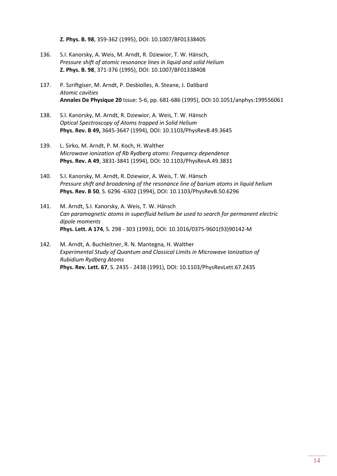**Z. Phys. B. 98**, 359-362 (1995), DOI: 10.1007/BF01338405

- 136. S.I. Kanorsky, A. Weis, M. Arndt, R. Dziewior, T. W. Hänsch, *Pressure shift of atomic resonance lines in liquid and solid Helium* **Z. Phys. B. 98**, 371-376 (1995), DOI: 10.1007/BF01338408
- 137. P. Szriftgiser, M. Arndt, P. Desbiolles, A. Steane, J. Dalibard *Atomic cavities* **Annales De Physique 20** Issue: 5-6, pp. 681-686 (1995), DOI:10.1051/anphys:199556061
- 138. S.I. Kanorsky, M. Arndt, R. Dziewior, A. Weis, T. W. Hänsch *Optical Spectroscopy of Atoms trapped in Solid Helium* **Phys. Rev. B 49,** 3645-3647 (1994), DOI: 10.1103/PhysRevB.49.3645
- 139. L. Sirko, M. Arndt, P. M. Koch, H. Walther *Microwave ionization of Rb Rydberg atoms: Frequency dependence* **Phys. Rev. A 49**, 3831-3841 (1994), DOI: 10.1103/PhysRevA.49.3831
- 140. S.I. Kanorsky, M. Arndt, R. Dziewior, A. Weis, T. W. Hänsch *Pressure shift and broadening of the resonance line of barium atoms in liquid helium* **Phys. Rev. B 50**, S. 6296 -6302 (1994), DOI: 10.1103/PhysRevB.50.6296
- 141. M. Arndt, S.I. Kanorsky, A. Weis, T. W. Hänsch *Can paramagnetic atoms in superfluid helium be used to search for permanent electric dipole moments* **Phys. Lett. A 174**, S. 298 - 303 (1993), DOI: 10.1016/0375-9601(93)90142-M
- 142. M. Arndt, A. Buchleitner, R. N. Mantegna, H. Walther *Experimental Study of Quantum and Classical Limits in Microwave Ionization of Rubidium Rydberg Atoms* **Phys. Rev. Lett. 67**, S. 2435 - 2438 (1991), DOI: 10.1103/PhysRevLett.67.2435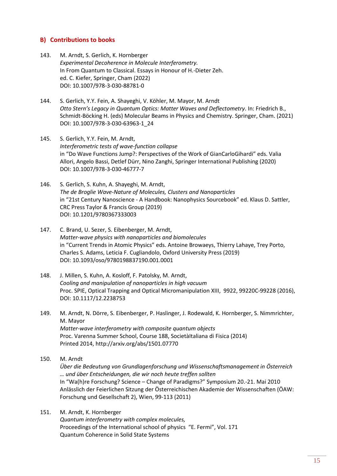#### **B) Contributions to books**

- 143. M. Arndt, S. Gerlich, K. Hornberger *Experimental Decoherence in Molecule Interferometry.* In From Quantum to Classical. Essays in Honour of H.-Dieter Zeh. ed. C. Kiefer, Springer, Cham (2022) DOI: 10.1007/978-3-030-88781-0
- 144. S. Gerlich, Y.Y. Fein, A. Shayeghi, V. Köhler, M. Mayor, M. Arndt *Otto Stern's Legacy in Quantum Optics: Matter Waves and Deflectometry*. In: Friedrich B., Schmidt-Böcking H. (eds) Molecular Beams in Physics and Chemistry. Springer, Cham. (2021) DOI: 10.1007/978-3-030-63963-1\_24
- 145. S. Gerlich, Y.Y. Fein, M. Arndt, *Interferometric tests of wave-function collapse* in "Do Wave Functions Jump?: Perspectives of the Work of GianCarloGihardi" eds. Valia Allori, Angelo Bassi, Detlef Dürr, Nino Zanghi, Springer International Publishing (2020) DOI: 10.1007/978-3-030-46777-7
- 146. S. Gerlich, S. Kuhn, A. Shayeghi, M. Arndt, *The de Broglie Wave-Nature of Molecules, Clusters and Nanoparticles* in "21st Century Nanoscience - A Handbook: Nanophysics Sourcebook" ed. Klaus D. Sattler, CRC Press Taylor & Francis Group (2019) DOI: 10.1201/9780367333003
- 147. C. Brand, U. Sezer, S. Eibenberger, M. Arndt, *Matter-wave physics with nanoparticles and biomolecules* in "Current Trends in Atomic Physics" eds. Antoine Browaeys, Thierry Lahaye, Trey Porto, Charles S. Adams, Leticia F. Cugliandolo, Oxford University Press (2019) DOI: 10.1093/oso/9780198837190.001.0001
- 148. J. Millen, S. Kuhn, A. Kosloff, F. Patolsky, M. Arndt, *Cooling and manipulation of nanoparticles in high vacuum* Proc. SPIE, Optical Trapping and Optical Micromanipulation XIII, 9922, 99220C-99228 (2016), DOI: 10.1117/12.2238753
- 149. M. Arndt, N. Dörre, S. Eibenberger, P. Haslinger, J. Rodewald, K. Hornberger, S. Nimmrichter, M. Mayor *Matter-wave interferometry with composite quantum objects* Proc. Varenna Summer School, Course 188, SocietàItaliana di Fisica (2014) Printed 2014, http://arxiv.org/abs/1501.07770
- 150. M. Arndt

*Über die Bedeutung von Grundlagenforschung und Wissenschaftsmanagement in Österreich … und über Entscheidungen, die wir noch heute treffen sollten* In "Wa(h)re Forschung? Science – Change of Paradigms?" Symposium 20.-21. Mai 2010 Anlässlich der Feierlichen Sitzung der Österreichischen Akademie der Wissenschaften (ÖAW: Forschung und Gesellschaft 2), Wien, 99-113 (2011)

151. M. Arndt, K. Hornberger *Quantum interferometry with complex molecules,* Proceedings of the International school of physics "E. Fermi", Vol. 171 Quantum Coherence in Solid State Systems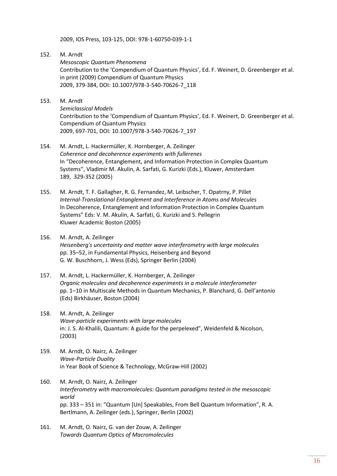2009, IOS Press, 103-125, DOI: 978-1-60750-039-1-1

- 152. M. Arndt *Mesoscopic Quantum Phenomena* Contribution to the 'Compendium of Quantum Physics', Ed. F. Weinert, D. Greenberger et al. in print (2009) Compendium of Quantum Physics 2009, 379-384, DOI: 10.1007/978-3-540-70626-7\_118
- 153. M. Arndt

*Semiclassical Models* Contribution to the 'Compendium of Quantum Physics', Ed. F. Weinert, D. Greenberger et al. Compendium of Quantum Physics 2009, 697-701, DOI: 10.1007/978-3-540-70626-7\_197

- 154. M. Arndt, L. Hackermüller, K. Hornberger, A. Zeilinger *Coherence and decoherence experiments with fullerenes* In "Decoherence, Entanglement, and Information Protection in Complex Quantum Systems'', Vladimir M. Akulin, A. Sarfati, G. Kurizki (Eds.), Kluwer, Amsterdam 189, 329-352 (2005)
- 155. M. Arndt, T. F. Gallagher, R. G. Fernandez, M. Leibscher, T. Opatrny, P. Pillet *Internal-Translational Entanglement and Interference in Atoms and Molecules* In Decoherence, Entanglement and Information Protection in Complex Quantum Systems" Eds: V. M. Akulin, A. Sarfati, G. Kurizki and S. Pellegrin Kluwer Academic Boston (2005)
- 156. M. Arndt, A. Zeilinger *Heisenberg's uncertainty and matter wave interferometry with large molecules* pp. 35–52, in Fundamental Physics, Heisenberg and Beyond G. W. Buschhorn, J. Wess (Eds), Springer Berlin (2004)
- 157. M. Arndt, L. Hackermüller, K. Hornberger, A. Zeilinger *Organic molecules and decoherence experiments in a molecule interferometer* pp. 1–10 in Multiscale Methods in Quantum Mechanics, P. Blanchard, G. Dell'antonio (Eds) Birkhäuser, Boston (2004)
- 158. M. Arndt, A. Zeilinger *Wave-particle experiments with large molecules* in: J. S. Al-Khalili, Quantum: A guide for the perpelexed", Weidenfeld & Nicolson, (2003)
- 159. M. Arndt, O. Nairz, A. Zeilinger *Wave-Particle Duality* in Year Book of Science & Technology, McGraw-Hill (2002)
- 160. M. Arndt, O. Nairz, A. Zeilinger *Interferometry with macromolecules: Quantum paradigms tested in the mesoscopic world* pp. 333 – 351 in: "Quantum [Un] Speakables, From Bell Quantum Information", R. A. Bertlmann, A. Zeilinger (eds.), Springer, Berlin (2002)
- 161. M. Arndt, O. Nairz, G. van der Zouw, A. Zeilinger *Towards Quantum Optics of Macromolecules*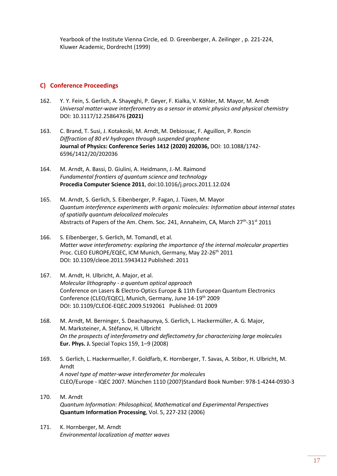Yearbook of the Institute Vienna Circle, ed. D. Greenberger, A. Zeilinger , p. 221-224, Kluwer Academic, Dordrecht (1999)

#### **C) Conference Proceedings**

- 162. Y. Y. Fein, S. Gerlich, A. Shayeghi, P. Geyer, F. Kialka, V. Köhler, M. Mayor, M. Arndt *Universal matter-wave interferometry as a sensor in atomic physics and physical chemistry* DOI: 10.1117/12.2586476 **(2021)**
- 163. C. Brand, T. Susi, J. Kotakoski, M. Arndt, M. Debiossac, F. Aguillon, P. Roncin *Diffraction of 80 eV hydrogen through suspended graphene* **Journal of Physics: Conference Series 1412 (2020) 202036,** DOI: 10.1088/1742- 6596/1412/20/202036
- 164. M. Arndt, A. Bassi, D. Giulini, A. Heidmann, J.-M. Raimond *Fundamental frontiers of quantum science and technology* **Procedia Computer Science 2011**, doi:10.1016/j.procs.2011.12.024
- 165. M. Arndt, S. Gerlich, S. Eibenberger, P. Fagan, J. Tüxen, M. Mayor *[Quantum interference experiments with organic molecules: Information about internal states](javascript:openGatewayLink()  [of spatially quantum delocalized molecules](javascript:openGatewayLink()* Abstracts of Papers of the Am. Chem. Soc. 241, Annaheim, CA, March 27<sup>th</sup>-31<sup>st</sup> 2011
- 166. S. Eibenberger, S. Gerlich, M. Tomandl, et al. *[Matter wave interferometry: exploring the importance of the internal molecular properties](javascript:openGatewayLink()* Proc. CLEO EUROPE/EQEC, ICM Munich, Germany, May 22-26<sup>th</sup> 2011 DOI: 10.1109/cleoe.2011.5943412 Published: 2011
- 167. M. Arndt, H. Ulbricht, A. Major, et al. *Molecular lithography - [a quantum optical approach](http://apps.isiknowledge.com/full_record.do?product=UA&search_mode=GeneralSearch&qid=1&SID=X1PJGGLfpImmDC5dLIP&page=1&doc=18&colname=INSPEC)* Conference on Lasers & Electro-Optics Europe & 11th European Quantum Electronics Conference (CLEO/EQEC), Munich, Germany, June 14-19th 2009 DOI: 10.1109/CLEOE-EQEC.2009.5192061 Published: 01 2009
- 168. M. Arndt, M. Berninger, S. Deachapunya, S. Gerlich, L. Hackermüller, A. G. Major, M. Marksteiner, A. Stéfanov, H. Ulbricht *On the prospects of interferometry and deflectometry for characterizing large molecules* **Eur. Phys. J.** Special Topics 159, 1–9 (2008)
- 169. S. [Gerlich,](http://apps.isiknowledge.com/OneClickSearch.do?product=UA&search_mode=OneClickSearch&db_id=&SID=X1PJGGLfpImmDC5dLIP&field=AU&value=Gerlich%2C+S.) L. [Hackermueller,](http://apps.isiknowledge.com/OneClickSearch.do?product=UA&search_mode=OneClickSearch&db_id=&SID=X1PJGGLfpImmDC5dLIP&field=AU&value=Hackermueller%2C+L.) F. [Goldfarb,](http://apps.isiknowledge.com/OneClickSearch.do?product=UA&search_mode=OneClickSearch&db_id=&SID=X1PJGGLfpImmDC5dLIP&field=AU&value=Goldfarb%2C+F.) K[. Hornberger,](http://apps.isiknowledge.com/OneClickSearch.do?product=UA&search_mode=OneClickSearch&db_id=&SID=X1PJGGLfpImmDC5dLIP&field=AU&value=Hornberger%2C+K.) T. [Savas,](http://apps.isiknowledge.com/OneClickSearch.do?product=UA&search_mode=OneClickSearch&db_id=&SID=X1PJGGLfpImmDC5dLIP&field=AU&value=Savas%2C+T.) A. [Stibor,](http://apps.isiknowledge.com/OneClickSearch.do?product=UA&search_mode=OneClickSearch&db_id=&SID=X1PJGGLfpImmDC5dLIP&field=AU&value=Stibor%2C+A.) H. [Ulbricht,](http://apps.isiknowledge.com/OneClickSearch.do?product=UA&search_mode=OneClickSearch&db_id=&SID=X1PJGGLfpImmDC5dLIP&field=AU&value=Ulbricht%2C+H.) M. [Arndt](http://apps.isiknowledge.com/OneClickSearch.do?product=UA&search_mode=OneClickSearch&db_id=&SID=X1PJGGLfpImmDC5dLIP&field=AU&value=Arndt%2C+M.) *[A novel type of matter-wave interferometer for molecules](http://apps.isiknowledge.com/full_record.do?product=UA&search_mode=GeneralSearch&qid=1&SID=X1PJGGLfpImmDC5dLIP&page=1&doc=34&colname=INSPEC)* CLEO/Europe - IQEC 2007. München 1110 (2007)Standard Book Number: 978-1-4244-0930-3
- 170. M. Arndt *Quantum Information: Philosophical, Mathematical and Experimental Perspectives* **Quantum Information Processing**, Vol. 5, 227-232 (2006)
- 171. K. Hornberger, M. Arndt *Environmental localization of matter waves*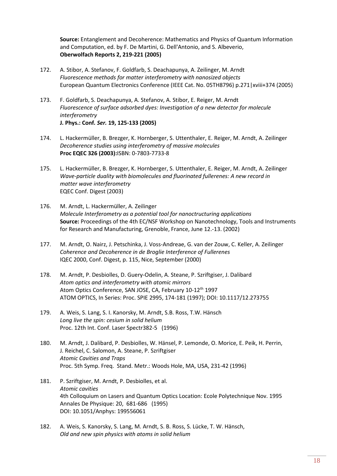**Source:** Entanglement and Decoherence: Mathematics and Physics of Quantum Information and Computation, ed. by F. De Martini, G. Dell'Antonio, and S. Albeverio, **Oberwolfach Reports 2, 219-221 (2005)**

- 172. A. Stibor, A. Stefanov, F. Goldfarb, S. Deachapunya, A. Zeilinger, M. Arndt *Fluorescence methods for matter interferometry with nanosized objects*  European Quantum Electronics Conference (IEEE Cat. No. 05TH8796) p.271 | xviii+374 (2005)
- 173. F. Goldfarb, S. Deachapunya, A. Stefanov, A. Stibor, E. Reiger, M. Arndt *Fluorescence of surface adsorbed dyes: Investigation of a new detector for molecule interferometry* **J. Phys.: Conf***. Ser.* **19, 125-133 (2005)**
- 174. L. Hackermüller, B. Brezger, K. Hornberger, S. Uttenthaler, E. Reiger, M. Arndt, A. Zeilinger *Decoherence studies using interferometry of massive molecules*  **Proc [EQEC](http://ieeexplore.ieee.org/xpl/RecentCon.jsp?punumber=9181) 326 (2003):**ISBN: 0-7803-7733-8
- 175. L. Hackermüller, B. Brezger, K. Hornberger, S. Uttenthaler, E. Reiger, M. Arndt, A. Zeilinger *Wave-particle duality with biomolecules and fluorinated fullerenes: A new record in matter wave interferometry* EQEC Conf. Digest (2003)
- 176. M. Arndt, L. Hackermüller, A. Zeilinger *Molecule Interferometry as a potential tool for nanoctructuring applications* **Source:** Proceedings of the 4th EC/NSF Workshop on Nanotechnology, Tools and Instruments for Research and Manufacturing, Grenoble, France, June 12.-13. (2002)
- 177. M. Arndt, O. Nairz, J. Petschinka, J. Voss-Andreae, G. van der Zouw, C. Keller, A. Zeilinger *Coherence and Decoherence in de Broglie Interference of Fullerenes* IQEC 2000, Conf. Digest, p. 115, Nice, September (2000)
- 178. M. Arndt, P. Desbiolles, D. Guery-Odelin, A. Steane, P. Szriftgiser, J. Dalibard *Atom optics and interferometry with atomic mirrors* Atom Optics Conference, SAN JOSE, CA, February 10-12<sup>th</sup> 1997 ATOM OPTICS, In Series: Proc. SPIE 2995, 174-181 (1997); DOI: 10.1117/12.273755
- 179. A. Weis, S. Lang, S. I. Kanorsky, M. Arndt, S.B. Ross, T.W. Hänsch *Long live the spin: cesium in solid helium* Proc. 12th Int. Conf. Laser Spectr382-5 (1996)
- 180. M. Arndt, J. Dalibard, P. Desbiolles, W. Hänsel, P. Lemonde, O. Morice, E. Peik, H. Perrin, J. Reichel, C. Salomon, A. Steane, P. Szriftgiser *Atomic Cavities and Traps* Proc. 5th Symp. Freq. Stand. Metr.: Woods Hole, MA, USA, 231-42 (1996)
- 181. P. Szriftgiser, M. Arndt, P. Desbiolles, et al. *[Atomic cavities](http://apps.isiknowledge.com/WoS/CIW.cgi?SID=W2KM8@lPcfAg7f9gCe@&Func=Abstract&doc=1/165)* 4th Colloquium on Lasers and Quantum Optics Location: Ecole Polytechnique Nov. 1995 Annales De Physique: 20, 681-686 (1995) DOI: 10.1051/Anphys: 199556061
- 182. A. Weis, S. Kanorsky, S. Lang, M. Arndt, S. B. Ross, S. Lücke, T. W. Hänsch, *Old and new spin physics with atoms in solid helium*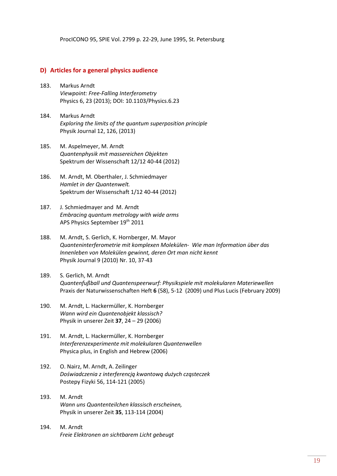ProcICONO 95, SPIE Vol. 2799 p. 22-29, June 1995, St. Petersburg

#### **D) Articles for a general physics audience**

- 183. Markus Arndt *Viewpoint: Free-Falling Interferometry* Physics 6, 23 (2013); DOI: 10.1103/Physics.6.23
- 184. Markus Arndt *Exploring the limits of the quantum superposition principle* Physik Journal 12, 126, (2013)
- 185. M. Aspelmeyer, M. Arndt *Quantenphysik mit massereichen Objekten* Spektrum der Wissenschaft 12/12 40-44 (2012)
- 186. M. Arndt, M. Oberthaler, J. Schmiedmayer *Hamlet in der Quantenwelt.* Spektrum der Wissenschaft 1/12 40-44 (2012)
- 187. J. Schmiedmayer and M. Arndt *Embracing quantum metrology with wide arms* APS Physics September 19th 2011
- 188. M. Arndt, S. Gerlich, K. Hornberger, M. Mayor *Quanteninterferometrie mit komplexen Molekülen- Wie man Information über das Innenleben von Molekülen gewinnt, deren Ort man nicht kennt* Physik Journal 9 (2010) Nr. 10, 37-43
- 189. S. Gerlich, M. Arndt *Quantenfußball und Quantenspeerwurf: Physikspiele mit molekularen Materiewellen* Praxis der Naturwissenschaften Heft **6** (58), 5-12 (2009) und Plus Lucis (February 2009)
- 190. M. Arndt, L. Hackermüller, K. Hornberger *Wann wird ein Quantenobjekt klassisch?* Physik in unserer Zeit **37**, 24 – 29 (2006)
- 191. M. Arndt, L. Hackermüller, K. Hornberger *Interferenzexperimente mit molekularen Quantenwellen* Physica plus, in English and Hebrew (2006)
- 192. O. Nairz, M. Arndt, A. Zeilinger *Doświadczenia z interferencją kwantową dużych cząsteczek* Postepy Fizyki 56, 114-121 (2005)
- 193. M. Arndt *Wann uns Quantenteilchen klassisch erscheinen,* Physik in unserer Zeit **35**, 113-114 (2004)
- 194. M. Arndt *Freie Elektronen an sichtbarem Licht gebeugt*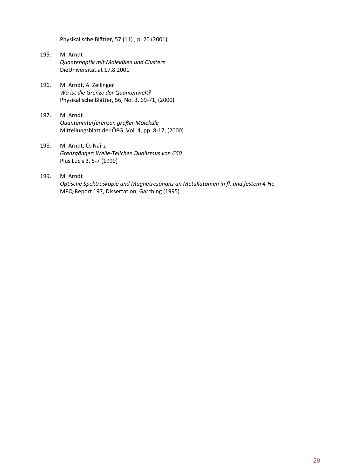Physikalische Blätter, 57 (11) , p. 20 (2001)

- 195. M. Arndt *Quantenoptik mit Molekülen und Clustern* DieUniversität.at 17.8.2001
- 196. M. Arndt, A. Zeilinger *Wo ist die Grenze der Quantenwelt?* Physikalische Blätter, 56, No. 3, 69-71, (2000)
- 197. M. Arndt *Quanteninterferenzen großer Moleküle* Mitteilungsblatt der ÖPG, Vol. 4, pp. 8-17, (2000)
- 198. M. Arndt, O. Nairz *Grenzgänger: Welle-Teilchen Dualismus von C60* Plus Lucis 3, 5-7 (1999)
- 199. M. Arndt *Optische Spektroskopie und Magnetresonanz an Metallatomen in fl. und festem 4-He*  MPQ-Report 197, Dissertation, Garching (1995)